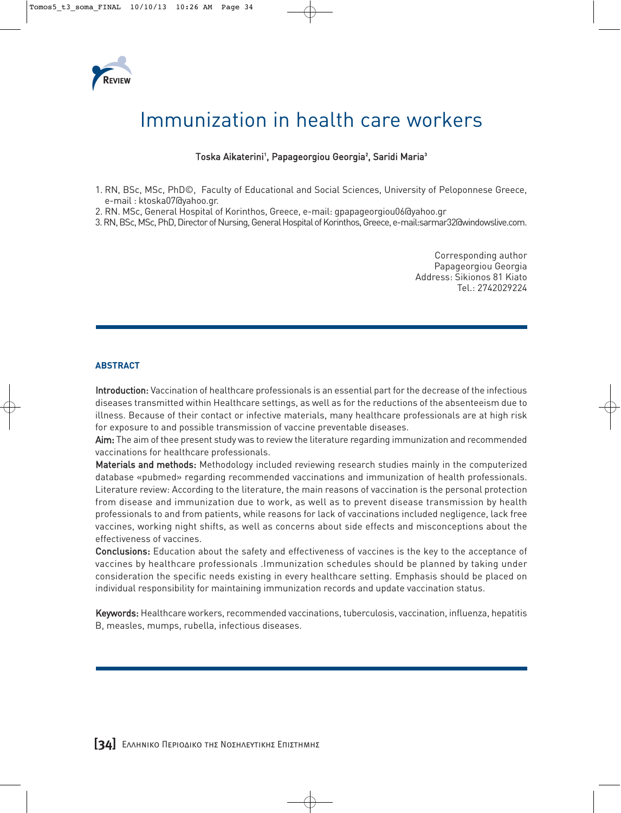

# Immunization in health care workers

# Toska Aikaterini', Papageorgiou Georgia<del>'</del>, Saridi Maria<del>'</del>

- 1. RN, BSc, MSc, PhD©, Faculty of Educational and Social Sciences, University of Peloponnese Greece, e-mail : ktoska07@yahoo.gr.
- 2. RN. MSc, General Hospital of Korinthos, Greece, e-mail: gpapageorgiou06@yahoo.gr
- 3. RN, BSc, MSc, PhD, Director of Nursing, General Hospital of Korinthos, Greece, e-mail:sarmar32@windowslive.com.

Corresponding author Papageorgiou Georgia Address: Sikionos 81 Kiato Tel.: 2742029224

#### **ABSTRACT**

Introduction: Vaccination of healthcare professionals is an essential part for the decrease of the infectious diseases transmitted within Healthcare settings, as well as for the reductions of the absenteeism due to illness. Because of their contact or infective materials, many healthcare professionals are at high risk for exposure to and possible transmission of vaccine preventable diseases.

Aim: The aim of thee present study was to review the literature regarding immunization and recommended vaccinations for healthcare professionals.

Materials and methods: Methodology included reviewing research studies mainly in the computerized database «pubmed» regarding recommended vaccinations and immunization of health professionals. Literature review: According to the literature, the main reasons of vaccination is the personal protection from disease and immunization due to work, as well as to prevent disease transmission by health professionals to and from patients, while reasons for lack of vaccinations included negligence, lack free vaccines, working night shifts, as well as concerns about side effects and misconceptions about the effectiveness of vaccines.

Conclusions: Education about the safety and effectiveness of vaccines is the key to the acceptance of vaccines by healthcare professionals .Immunization schedules should be planned by taking under consideration the specific needs existing in every healthcare setting. Emphasis should be placed on individual responsibility for maintaining immunization records and update vaccination status.

Keywords: Healthcare workers, recommended vaccinations, tuberculosis, vaccination, influenza, hepatitis B, measles, mumps, rubella, infectious diseases.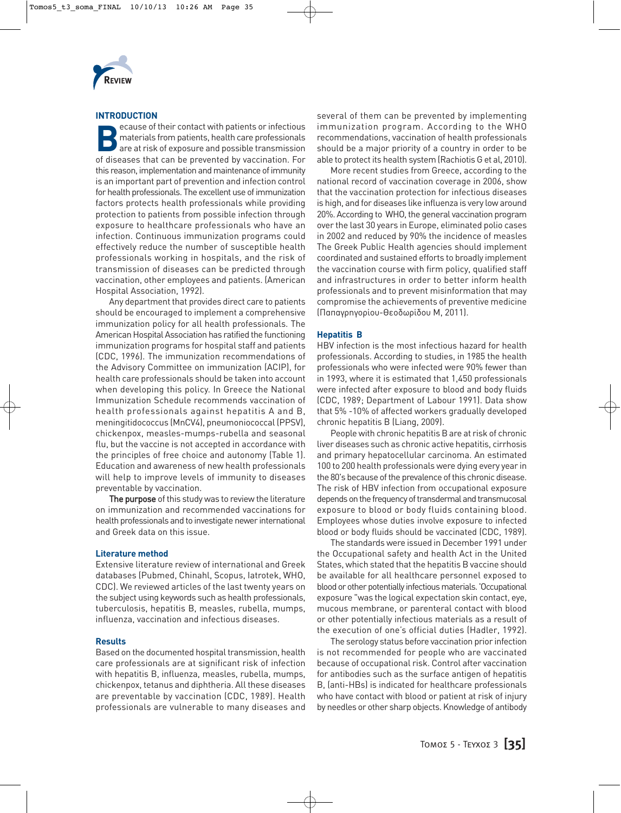

## **INTRODUCTION**

**Because of their contact with patients or infectious**<br>
are at risk of exposure and possible transmission<br>
of discoses that can be approached by respiration. For materials from patients, health care professionals of diseases that can be prevented by vaccination. For this reason, implementation and maintenance of immunity is an important part of prevention and infection control for health professionals. The excellent use of immunization factors protects health professionals while providing protection to patients from possible infection through exposure to healthcare professionals who have an infection. Continuous immunization programs could effectively reduce the number of susceptible health professionals working in hospitals, and the risk of transmission of diseases can be predicted through vaccination, other employees and patients. (American Hospital Association, 1992).

Any department that provides direct care to patients should be encouraged to implement a comprehensive immunization policy for all health professionals. The American Hospital Association has ratified the functioning immunization programs for hospital staff and patients (CDC, 1996). The immunization recommendations of the Advisory Committee on immunization (ACIP), for health care professionals should be taken into account when developing this policy. In Greece the National Immunization Schedule recommends vaccination of health professionals against hepatitis A and B, meningitidococcus (MnCV4), pneumoniococcal (PPSV), chickenpox, measles-mumps-rubella and seasonal flu, but the vaccine is not accepted in accordance with the principles of free choice and autonomy (Table 1). Education and awareness of new health professionals will help to improve levels of immunity to diseases preventable by vaccination.

The purpose of this study was to review the literature on immunization and recommended vaccinations for health professionals and to investigate newer international and Greek data on this issue.

#### **Literature method**

Extensive literature review of international and Greek databases (Pubmed, Chinahl, Scopus, Iatrotek, WHO, CDC). We reviewed articles of the last twenty years on the subject using keywords such as health professionals, tuberculosis, hepatitis B, measles, rubella, mumps, influenza, vaccination and infectious diseases.

#### **Results**

Based on the documented hospital transmission, health care professionals are at significant risk of infection with hepatitis B, influenza, measles, rubella, mumps, chickenpox, tetanus and diphtheria. All these diseases are preventable by vaccination (CDC, 1989). Health professionals are vulnerable to many diseases and

several of them can be prevented by implementing immunization program. According to the WHO recommendations, vaccination of health professionals should be a major priority of a country in order to be able to protect its health system (Rachiotis G et al, 2010).

More recent studies from Greece, according to the national record of vaccination coverage in 2006, show that the vaccination protection for infectious diseases is high, and for diseases like influenza is very low around 20%. According to WHO, the general vaccination program over the last 30 years in Europe, eliminated polio cases in 2002 and reduced by 90% the incidence of measles The Greek Public Health agencies should implement coordinated and sustained efforts to broadly implement the vaccination course with firm policy, qualified staff and infrastructures in order to better inform health professionals and to prevent misinformation that may compromise the achievements of preventive medicine (Παπαγρηγορίου-Θεοδωρίδου Μ, 2011).

## **Hepatitis B**

HBV infection is the most infectious hazard for health professionals. According to studies, in 1985 the health professionals who were infected were 90% fewer than in 1993, where it is estimated that 1,450 professionals were infected after exposure to blood and body fluids (CDC, 1989; Department of Labour 1991). Data show that 5% -10% of affected workers gradually developed chronic hepatitis B (Liang, 2009).

People with chronic hepatitis B are at risk of chronic liver diseases such as chronic active hepatitis, cirrhosis and primary hepatocellular carcinoma. An estimated 100 to 200 health professionals were dying every year in the 80's because of the prevalence of this chronic disease. The risk of HBV infection from occupational exposure depends on the frequency of transdermal and transmucosal exposure to blood or body fluids containing blood. Employees whose duties involve exposure to infected blood or body fluids should be vaccinated (CDC, 1989).

The standards were issued in December 1991 under the Occupational safety and health Act in the United States, which stated that the hepatitis B vaccine should be available for all healthcare personnel exposed to blood or other potentially infectious materials. 'Occupational exposure "was the logical expectation skin contact, eye, mucous membrane, or parenteral contact with blood or other potentially infectious materials as a result of the execution of one's official duties (Hadler, 1992).

The serology status before vaccination prior infection is not recommended for people who are vaccinated because of occupational risk. Control after vaccination for antibodies such as the surface antigen of hepatitis B, (anti-HBs) is indicated for healthcare professionals who have contact with blood or patient at risk of injury by needles or other sharp objects. Knowledge of antibody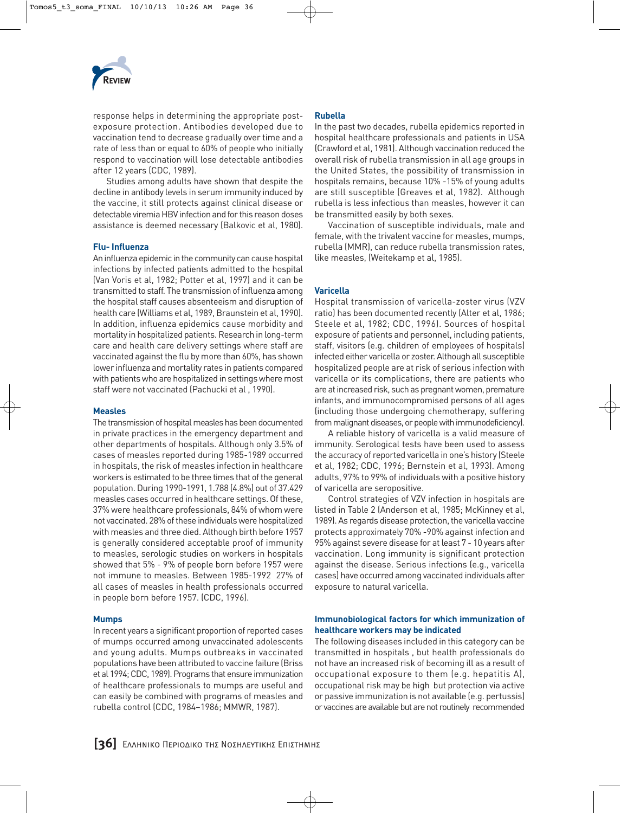

response helps in determining the appropriate postexposure protection. Antibodies developed due to vaccination tend to decrease gradually over time and a rate of less than or equal to 60% of people who initially respond to vaccination will lose detectable antibodies after 12 years (CDC, 1989).

Studies among adults have shown that despite the decline in antibody levels in serum immunity induced by the vaccine, it still protects against clinical disease or detectable viremia HBV infection and for this reason doses assistance is deemed necessary (Balkovic et al, 1980).

#### **Flu- Influenza**

An influenza epidemic in the community can cause hospital infections by infected patients admitted to the hospital (Van Voris et al, 1982; Potter et al, 1997) and it can be transmitted to staff. The transmission of influenza among the hospital staff causes absenteeism and disruption of health care (Williams et al, 1989, Braunstein et al, 1990). In addition, influenza epidemics cause morbidity and mortality in hospitalized patients. Research in long-term care and health care delivery settings where staff are vaccinated against the flu by more than 60%, has shown lower influenza and mortality rates in patients compared with patients who are hospitalized in settings where most staff were not vaccinated (Pachucki et al , 1990).

#### **Measles**

The transmission of hospital measles has been documented in private practices in the emergency department and other departments of hospitals. Although only 3.5% of cases of measles reported during 1985-1989 occurred in hospitals, the risk of measles infection in healthcare workers is estimated to be three times that of the general population. During 1990-1991, 1.788 (4.8%) out of 37.429 measles cases occurred in healthcare settings. Of these, 37% were healthcare professionals, 84% of whom were not vaccinated. 28% of these individuals were hospitalized with measles and three died. Although birth before 1957 is generally considered acceptable proof of immunity to measles, serologic studies on workers in hospitals showed that 5% - 9% of people born before 1957 were not immune to measles. Between 1985-1992 27% of all cases of measles in health professionals occurred in people born before 1957. (CDC, 1996).

#### **Mumps**

In recent years a significant proportion of reported cases of mumps occurred among unvaccinated adolescents and young adults. Mumps outbreaks in vaccinated populations have been attributed to vaccine failure (Briss et al 1994; CDC, 1989). Programs that ensure immunization of healthcare professionals to mumps are useful and can easily be combined with programs of measles and rubella control (CDC, 1984–1986; MMWR, 1987).

#### **Rubella**

In the past two decades, rubella epidemics reported in hospital healthcare professionals and patients in USA (Crawford et al, 1981). Although vaccination reduced the overall risk of rubella transmission in all age groups in the United States, the possibility of transmission in hospitals remains, because 10% -15% of young adults are still susceptible (Greaves et al, 1982). Although rubella is less infectious than measles, however it can be transmitted easily by both sexes.

Vaccination of susceptible individuals, male and female, with the trivalent vaccine for measles, mumps, rubella (MMR), can reduce rubella transmission rates, like measles, (Weitekamp et al, 1985).

#### **Varicella**

Hospital transmission of varicella-zoster virus (VZV ratio) has been documented recently (Alter et al, 1986; Steele et al, 1982; CDC, 1996). Sources of hospital exposure of patients and personnel, including patients, staff, visitors (e.g. children of employees of hospitals) infected either varicella or zoster. Although all susceptible hospitalized people are at risk of serious infection with varicella or its complications, there are patients who are at increased risk, such as pregnant women, premature infants, and immunocompromised persons of all ages (including those undergoing chemotherapy, suffering from malignant diseases, or people with immunodeficiency).

A reliable history of varicella is a valid measure of immunity. Serological tests have been used to assess the accuracy of reported varicella in one's history (Steele et al, 1982; CDC, 1996; Bernstein et al, 1993). Among adults, 97% to 99% of individuals with a positive history of varicella are seropositive.

Control strategies of VZV infection in hospitals are listed in Table 2 (Anderson et al, 1985; McKinney et al, 1989). As regards disease protection, the varicella vaccine protects approximately 70% -90% against infection and 95% against severe disease for at least 7 - 10 years after vaccination. Long immunity is significant protection against the disease. Serious infections (e.g., varicella cases) have occurred among vaccinated individuals after exposure to natural varicella.

#### **Immunobiological factors for which immunization of healthcare workers may be indicated**

The following diseases included in this category can be transmitted in hospitals , but health professionals do not have an increased risk of becoming ill as a result of occupational exposure to them (e.g. hepatitis A), occupational risk may be high but protection via active or passive immunization is not available (e.g. pertussis) or vaccines are available but are not routinely recommended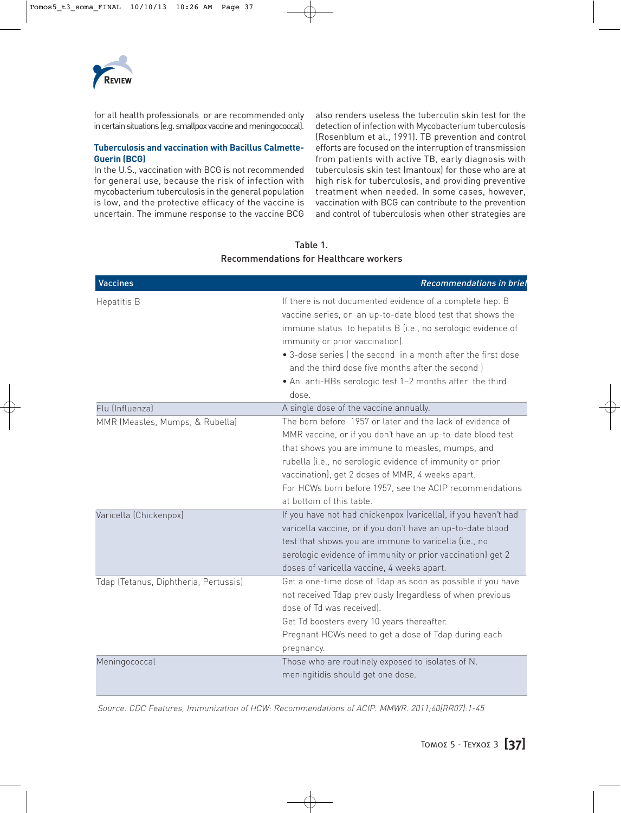

for all health professionals or are recommended only in certain situations (e.g. smallpox vaccine and meningococcal).

# **Tuberculosis and vaccination with Bacillus Calmette-Guerin (BCG)**

In the U.S., vaccination with BCG is not recommended for general use, because the risk of infection with mycobacterium tuberculosis in the general population is low, and the protective efficacy of the vaccine is uncertain. The immune response to the vaccine BCG also renders useless the tuberculin skin test for the detection of infection with Mycobacterium tuberculosis (Rosenblum et al., 1991). TB prevention and control efforts are focused on the interruption of transmission from patients with active TB, early diagnosis with tuberculosis skin test (mantoux) for those who are at high risk for tuberculosis, and providing preventive treatment when needed. In some cases, however, vaccination with BCG can contribute to the prevention and control of tuberculosis when other strategies are

| <b>Vaccines</b>                       | Recommendations in brief                                                                                                                                                                                                                                                                                                                                                                                          |
|---------------------------------------|-------------------------------------------------------------------------------------------------------------------------------------------------------------------------------------------------------------------------------------------------------------------------------------------------------------------------------------------------------------------------------------------------------------------|
| Hepatitis B                           | If there is not documented evidence of a complete hep. B<br>vaccine series, or an up-to-date blood test that shows the<br>immune status to hepatitis B (i.e., no serologic evidence of<br>immunity or prior vaccination).<br>• 3-dose series (the second in a month after the first dose<br>and the third dose five months after the second I<br>• An anti-HBs serologic test 1-2 months after the third<br>dose. |
| Flu (Influenza)                       | A single dose of the vaccine annually.                                                                                                                                                                                                                                                                                                                                                                            |
| MMR (Measles, Mumps, & Rubella)       | The born before 1957 or later and the lack of evidence of<br>MMR vaccine, or if you don't have an up-to-date blood test<br>that shows you are immune to measles, mumps, and<br>rubella (i.e., no serologic evidence of immunity or prior<br>vaccination), get 2 doses of MMR, 4 weeks apart.<br>For HCWs born before 1957, see the ACIP recommendations<br>at bottom of this table.                               |
| Varicella (Chickenpox)                | If you have not had chickenpox (varicella), if you haven't had<br>varicella vaccine, or if you don't have an up-to-date blood<br>test that shows you are immune to varicella (i.e., no<br>serologic evidence of immunity or prior vaccination) get 2<br>doses of varicella vaccine, 4 weeks apart.                                                                                                                |
| Tdap (Tetanus, Diphtheria, Pertussis) | Get a one-time dose of Tdap as soon as possible if you have<br>not received Tdap previously (regardless of when previous<br>dose of Td was received.<br>Get Td boosters every 10 years thereafter.<br>Pregnant HCWs need to get a dose of Tdap during each<br>pregnancy.                                                                                                                                          |
| Meningococcal                         | Those who are routinely exposed to isolates of N.<br>meningitidis should get one dose.                                                                                                                                                                                                                                                                                                                            |

# Table 1. Recommendations for Healthcare workers

Source: CDC Features, Immunization of HCW: Recommendations of ACIP. MMWR. 2011;60(RR07):1-45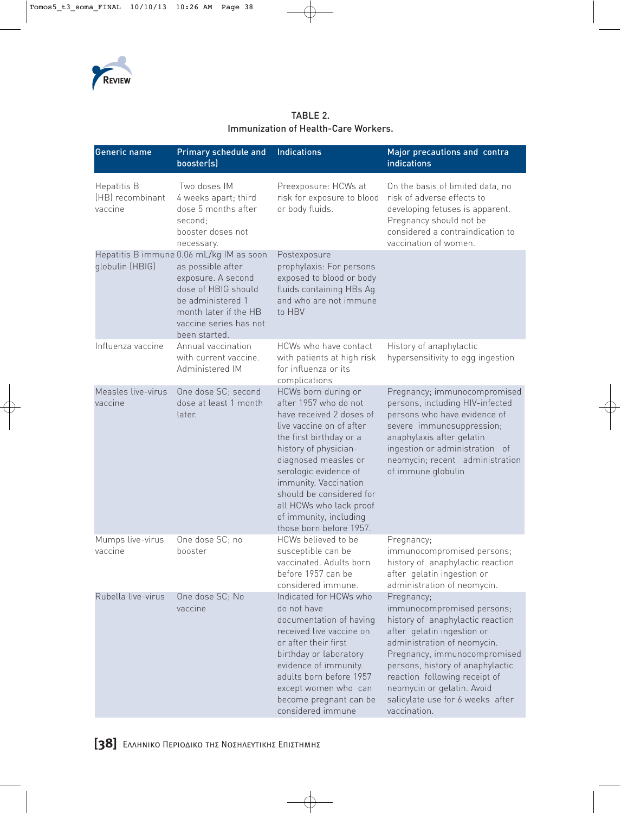

| <b>Generic name</b>                        | Primary schedule and<br>booster(s)                                                                                                                                                                  | <b>Indications</b>                                                                                                                                                                                                                                                                                                                             | Major precautions and contra<br><b>indications</b>                                                                                                                                                                                                                                                                               |
|--------------------------------------------|-----------------------------------------------------------------------------------------------------------------------------------------------------------------------------------------------------|------------------------------------------------------------------------------------------------------------------------------------------------------------------------------------------------------------------------------------------------------------------------------------------------------------------------------------------------|----------------------------------------------------------------------------------------------------------------------------------------------------------------------------------------------------------------------------------------------------------------------------------------------------------------------------------|
| Hepatitis B<br>(HB) recombinant<br>vaccine | Two doses IM<br>4 weeks apart; third<br>dose 5 months after<br>second;<br>booster doses not<br>necessary.                                                                                           | Preexposure: HCWs at<br>risk for exposure to blood<br>or body fluids.                                                                                                                                                                                                                                                                          | On the basis of limited data, no<br>risk of adverse effects to<br>developing fetuses is apparent.<br>Pregnancy should not be<br>considered a contraindication to<br>vaccination of women.                                                                                                                                        |
| globulin (HBIG)                            | Hepatitis B immune 0.06 mL/kg IM as soon<br>as possible after<br>exposure. A second<br>dose of HBIG should<br>be administered 1<br>month later if the HB<br>vaccine series has not<br>been started. | Postexposure<br>prophylaxis: For persons<br>exposed to blood or body<br>fluids containing HBs Ag<br>and who are not immune<br>to HBV                                                                                                                                                                                                           |                                                                                                                                                                                                                                                                                                                                  |
| Influenza vaccine                          | Annual vaccination<br>with current vaccine.<br>Administered IM                                                                                                                                      | HCWs who have contact<br>with patients at high risk<br>for influenza or its<br>complications                                                                                                                                                                                                                                                   | History of anaphylactic<br>hypersensitivity to egg ingestion                                                                                                                                                                                                                                                                     |
| Measles live-virus<br>vaccine              | One dose SC; second<br>dose at least 1 month<br>later.                                                                                                                                              | HCWs born during or<br>after 1957 who do not<br>have received 2 doses of<br>live vaccine on of after<br>the first birthday or a<br>history of physician-<br>diagnosed measles or<br>serologic evidence of<br>immunity. Vaccination<br>should be considered for<br>all HCWs who lack proof<br>of immunity, including<br>those born before 1957. | Pregnancy; immunocompromised<br>persons, including HIV-infected<br>persons who have evidence of<br>severe immunosuppression;<br>anaphylaxis after gelatin<br>ingestion or administration of<br>neomycin; recent administration<br>of immune globulin                                                                             |
| Mumps live-virus<br>vaccine                | One dose SC; no<br>booster                                                                                                                                                                          | HCWs believed to be<br>susceptible can be<br>vaccinated. Adults born<br>before 1957 can be<br>considered immune.                                                                                                                                                                                                                               | Pregnancy;<br>immunocompromised persons;<br>history of anaphylactic reaction<br>after gelatin ingestion or<br>administration of neomycin.                                                                                                                                                                                        |
| Rubella live-virus                         | One dose SC; No<br>vaccine                                                                                                                                                                          | Indicated for HCWs who<br>do not have<br>documentation of having<br>received live vaccine on<br>or after their first<br>birthday or laboratory<br>evidence of immunity.<br>adults born before 1957<br>except women who can<br>become pregnant can be<br>considered immune                                                                      | Pregnancy;<br>immunocompromised persons;<br>history of anaphylactic reaction<br>after gelatin ingestion or<br>administration of neomycin.<br>Pregnancy, immunocompromised<br>persons, history of anaphylactic<br>reaction following receipt of<br>neomycin or gelatin. Avoid<br>salicylate use for 6 weeks after<br>vaccination. |

# TABLE 2. Immunization of Health-Care Workers.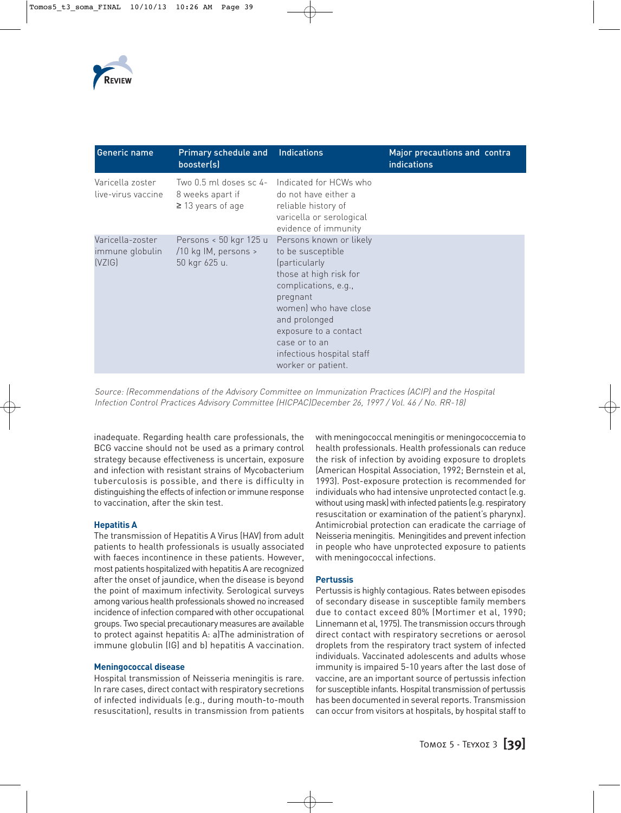

| Generic name                                  | <b>Primary schedule and</b><br>booster(s)                       | <b>Indications</b>                                                                                                                                                                                                                                                 | Major precautions and contra<br><b>indications</b> |
|-----------------------------------------------|-----------------------------------------------------------------|--------------------------------------------------------------------------------------------------------------------------------------------------------------------------------------------------------------------------------------------------------------------|----------------------------------------------------|
| Varicella zoster<br>live-virus vaccine        | 8 weeks apart if<br>$\geq$ 13 years of age                      | Two 0.5 ml doses sc 4- Indicated for HCWs who<br>do not have either a<br>reliable history of<br>varicella or serological<br>evidence of immunity                                                                                                                   |                                                    |
| Varicella-zoster<br>immune globulin<br>[VZ G] | Persons < 50 kgr 125 u<br>/10 kg IM, persons ><br>50 kgr 625 u. | Persons known or likely<br>to be susceptible<br>(particularly<br>those at high risk for<br>complications, e.g.,<br>pregnant<br>women) who have close<br>and prolonged<br>exposure to a contact<br>case or to an<br>infectious hospital staff<br>worker or patient. |                                                    |

Source: (Recommendations of the Advisory Committee on Immunization Practices (ACIP) and the Hospital Infection Control Practices Advisory Committee (HICPAC)December 26, 1997 / Vol. 46 / No. RR-18)

inadequate. Regarding health care professionals, the BCG vaccine should not be used as a primary control strategy because effectiveness is uncertain, exposure and infection with resistant strains of Mycobacterium tuberculosis is possible, and there is difficulty in distinguishing the effects of infection or immune response to vaccination, after the skin test.

#### **Hepatitis A**

The transmission of Hepatitis A Virus (HAV) from adult patients to health professionals is usually associated with faeces incontinence in these patients. However, most patients hospitalized with hepatitis A are recognized after the onset of jaundice, when the disease is beyond the point of maximum infectivity. Serological surveys among various health professionals showed no increased incidence of infection compared with other occupational groups. Two special precautionary measures are available to protect against hepatitis A: a)The administration of immune globulin (IG) and b) hepatitis A vaccination.

#### **Meningococcal disease**

Hospital transmission of Neisseria meningitis is rare. In rare cases, direct contact with respiratory secretions of infected individuals (e.g., during mouth-to-mouth resuscitation), results in transmission from patients

with meningococcal meningitis or meningococcemia to health professionals. Health professionals can reduce the risk of infection by avoiding exposure to droplets (American Hospital Association, 1992; Bernstein et al, 1993). Post-exposure protection is recommended for individuals who had intensive unprotected contact (e.g. without using mask) with infected patients (e.g. respiratory resuscitation or examination of the patient's pharynx). Antimicrobial protection can eradicate the carriage of Neisseria meningitis. Meningitides and prevent infection in people who have unprotected exposure to patients with meningococcal infections.

#### **Pertussis**

Pertussis is highly contagious. Rates between episodes of secondary disease in susceptible family members due to contact exceed 80% (Mortimer et al, 1990; Linnemann et al, 1975). The transmission occurs through direct contact with respiratory secretions or aerosol droplets from the respiratory tract system of infected individuals. Vaccinated adolescents and adults whose immunity is impaired 5-10 years after the last dose of vaccine, are an important source of pertussis infection for susceptible infants. Hospital transmission of pertussis has been documented in several reports. Transmission can occur from visitors at hospitals, by hospital staff to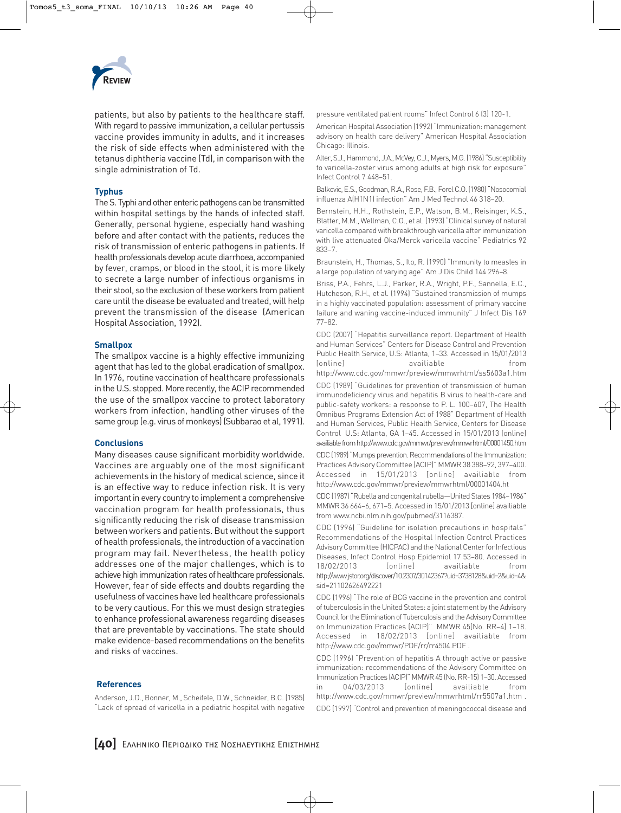

patients, but also by patients to the healthcare staff. With regard to passive immunization, a cellular pertussis vaccine provides immunity in adults, and it increases the risk of side effects when administered with the tetanus diphtheria vaccine (Td), in comparison with the single administration of Td.

## **Typhus**

The S. Typhi and other enteric pathogens can be transmitted within hospital settings by the hands of infected staff. Generally, personal hygiene, especially hand washing before and after contact with the patients, reduces the risk of transmission of enteric pathogens in patients. If health professionals develop acute diarrhoea, accompanied by fever, cramps, or blood in the stool, it is more likely to secrete a large number of infectious organisms in their stool, so the exclusion of these workers from patient care until the disease be evaluated and treated, will help prevent the transmission of the disease (American Hospital Association, 1992).

## **Smallpox**

The smallpox vaccine is a highly effective immunizing agent that has led to the global eradication of smallpox. In 1976, routine vaccination of healthcare professionals in the U.S. stopped. More recently, the ACIP recommended the use of the smallpox vaccine to protect laboratory workers from infection, handling other viruses of the same group (e.g. virus of monkeys) (Subbarao et al, 1991).

#### **Conclusions**

Many diseases cause significant morbidity worldwide. Vaccines are arguably one of the most significant achievements in the history of medical science, since it is an effective way to reduce infection risk. It is very important in every country to implement a comprehensive vaccination program for health professionals, thus significantly reducing the risk of disease transmission between workers and patients. But without the support of health professionals, the introduction of a vaccination program may fail. Nevertheless, the health policy addresses one of the major challenges, which is to achieve high immunization rates of healthcare professionals. However, fear of side effects and doubts regarding the usefulness of vaccines have led healthcare professionals to be very cautious. For this we must design strategies to enhance professional awareness regarding diseases that are preventable by vaccinations. The state should make evidence-based recommendations on the benefits and risks of vaccines.

#### **References**

Anderson, J.D., Bonner, M., Scheifele, D.W., Schneider, B.C. (1985) "Lack of spread of varicella in a pediatric hospital with negative pressure ventilated patient rooms" Infect Control 6 (3) 120-1.

American Hospital Association (1992) "Immunization: management advisory on health care delivery" American Hospital Association Chicago: Illinois.

Alter, S.J., Hammond, J.A., McVey, C.J., Myers, M.G. (1986) "Susceptibility to varicella-zoster virus among adults at high risk for exposure" Infect Control 7 448–51.

Balkovic, E.S., Goodman, R.A., Rose, F.B., Forel C.O. (1980) "Nosocomial influenza A(H1N1) infection" Am J Med Technol 46 318–20.

Bernstein, H.H., Rothstein, E.P., Watson, B.M., Reisinger, K.S., Blatter, M.M., Wellman, C.O., et al. (1993) "Clinical survey of natural varicella compared with breakthrough varicella after immunization with live attenuated Oka/Merck varicella vaccine" Pediatrics 92 833–7.

Braunstein, H., Thomas, S., Ito, R. (1990) "Immunity to measles in a large population of varying age" Am J Dis Child 144 296–8.

Briss, P.A., Fehrs, L.J., Parker, R.A., Wright, P.F., Sannella, E.C., Hutcheson, R.H., et al. (1994) "Sustained transmission of mumps in a highly vaccinated population: assessment of primary vaccine failure and waning vaccine-induced immunity" J Infect Dis 169 77–82.

CDC (2007) "Hepatitis surveillance report. Department of Health and Human Services" Centers for Disease Control and Prevention Public Health Service, U.S: Atlanta, 1–33. Accessed in 15/01/2013 [online] availiable from http://www.cdc.gov/mmwr/preview/mmwrhtml/ss5603a1.htm CDC (1989) "Guidelines for prevention of transmission of human

immunodeficiency virus and hepatitis B virus to health-care and public-safety workers: a response to P. L. 100–607, The Health Omnibus Programs Extension Act of 1988" Department of Health and Human Services, Public Health Service, Centers for Disease Control U.S: Atlanta, GA 1–45. Accessed in 15/01/2013 [online] availiable from http://www.cdc.gov/mmwr/preview/mmwrhtml/00001450.htm

CDC (1989) "Mumps prevention. Recommendations of the Immunization: Practices Advisory Committee (ACIP)" MMWR 38 388–92, 397–400. Accessed in 15/01/2013 [online] availiable from http://www.cdc.gov/mmwr/preview/mmwrhtml/00001404.ht

CDC (1987) "Rubella and congenital rubella—United States 1984–1986" MMWR 36 664–6, 671–5. Accessed in 15/01/2013 [online] availiable from www.ncbi.nlm.nih.gov/pubmed/3116387.

CDC (1996) "Guideline for isolation precautions in hospitals" Recommendations of the Hospital Infection Control Practices Advisory Committee (HICPAC) and the National Center for Infectious Diseases, Infect Control Hosp Epidemiol 17 53–80. Accessed in 18/02/2013 [online] availiable from http://www.jstor.org/discover/10.2307/30142367?uid=3738128&uid=2&uid=4& sid=21102626492221

CDC (1996) "The role of BCG vaccine in the prevention and control of tuberculosis in the United States: a joint statement by the Advisory Council for the Elimination of Tuberculosis and the Advisory Committee on Immunization Practices (ACIP)" MMWR 45(No. RR–4) 1–18. Accessed in 18/02/2013 [online] availiable from http://www.cdc.gov/mmwr/PDF/rr/rr4504.PDF .

CDC (1996) "Prevention of hepatitis A through active or passive immunization: recommendations of the Advisory Committee on Immunization Practices (ACIP)" MMWR 45 (No. RR-15) 1–30. Accessed in 04/03/2013 [online] availiable from http://www.cdc.gov/mmwr/preview/mmwrhtml/rr5507a1.htm . CDC (1997) "Control and prevention of meningococcal disease and